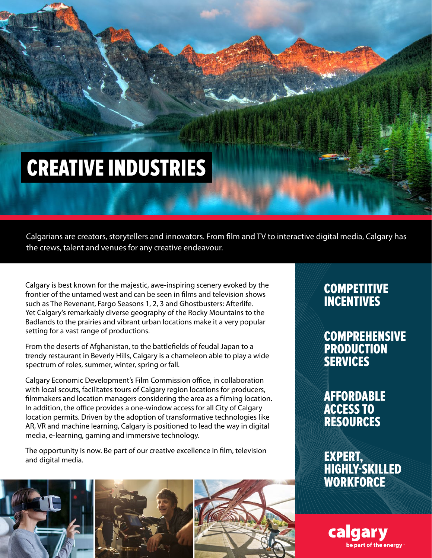## CREATIVE INDUSTRIES

Calgarians are creators, storytellers and innovators. From film and TV to interactive digital media, Calgary has the crews, talent and venues for any creative endeavour.

Calgary is best known for the majestic, awe-inspiring scenery evoked by the frontier of the untamed west and can be seen in films and television shows such as The Revenant, Fargo Seasons 1, 2, 3 and Ghostbusters: Afterlife. Yet Calgary's remarkably diverse geography of the Rocky Mountains to the Badlands to the prairies and vibrant urban locations make it a very popular setting for a vast range of productions.

From the deserts of Afghanistan, to the battlefields of feudal Japan to a trendy restaurant in Beverly Hills, Calgary is a chameleon able to play a wide spectrum of roles, summer, winter, spring or fall.

Calgary Economic Development's Film Commission office, in collaboration with local scouts, facilitates tours of Calgary region locations for producers, filmmakers and location managers considering the area as a filming location. In addition, the office provides a one-window access for all City of Calgary location permits. Driven by the adoption of transformative technologies like AR, VR and machine learning, Calgary is positioned to lead the way in digital media, e-learning, gaming and immersive technology.

The opportunity is now. Be part of our creative excellence in film, television and digital media.







#### **COMPETITIVE** INCENTIVES

COMPREHENSIVE PRODUCTION SERVICES

AFFORDABLE ACCESS TO RESOURCES

EXPERT, HIGHLY-SKILLED **WORKFORCE**